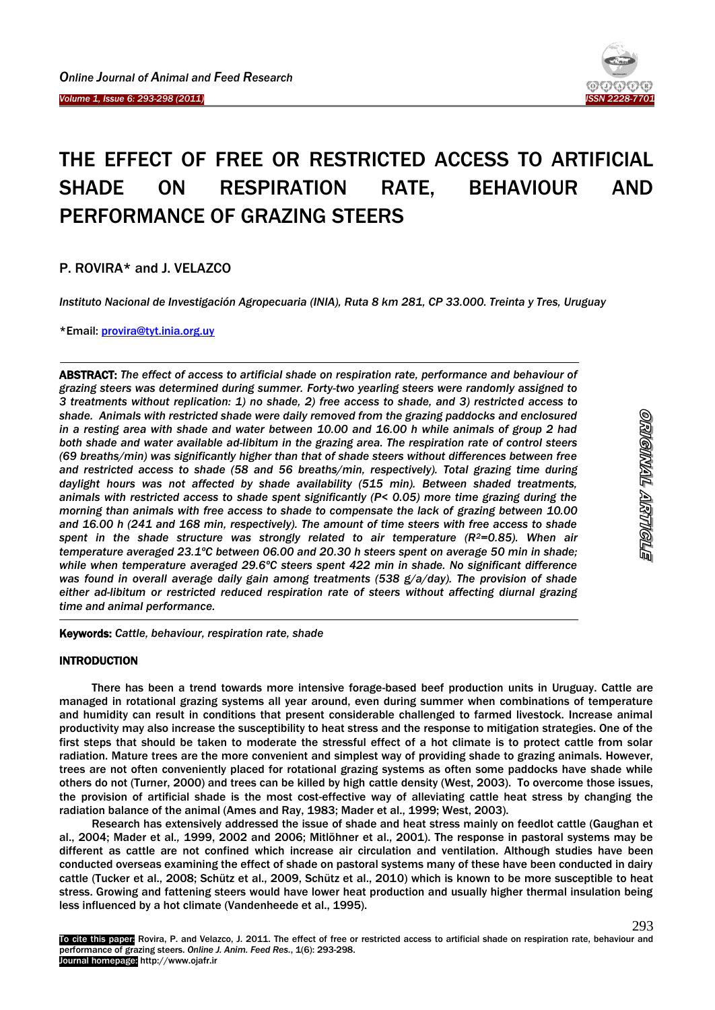

# THE EFFECT OF FREE OR RESTRICTED ACCESS TO ARTIFICIAL SHADE ON RESPIRATION RATE, BEHAVIOUR AND PERFORMANCE OF GRAZING STEERS

P. ROVIRA\* and J. VELAZCO

Ï

 $\overline{\phantom{a}}$ 

*Instituto Nacional de Investigación Agropecuaria (INIA), Ruta 8 km 281, CP 33.000. Treinta y Tres, Uruguay*

\*Email: [provira@tyt.inia.org.uy](mailto:provira@tyt.inia.org.uy)

ABSTRACT: *The effect of access to artificial shade on respiration rate, performance and behaviour of grazing steers was determined during summer. Forty-two yearling steers were randomly assigned to 3 treatments without replication: 1) no shade, 2) free access to shade, and 3) restricted access to shade. Animals with restricted shade were daily removed from the grazing paddocks and enclosured in a resting area with shade and water between 10.00 and 16.00 h while animals of group 2 had both shade and water available ad-libitum in the grazing area. The respiration rate of control steers (69 breaths/min) was significantly higher than that of shade steers without differences between free and restricted access to shade (58 and 56 breaths/min, respectively). Total grazing time during daylight hours was not affected by shade availability (515 min). Between shaded treatments, animals with restricted access to shade spent significantly (P< 0.05) more time grazing during the morning than animals with free access to shade to compensate the lack of grazing between 10.00 and 16.00 h (241 and 168 min, respectively). The amount of time steers with free access to shade spent in the shade structure was strongly related to air temperature (R2=0.85). When air temperature averaged 23.1ºC between 06.00 and 20.30 h steers spent on average 50 min in shade; while when temperature averaged 29.6ºC steers spent 422 min in shade. No significant difference was found in overall average daily gain among treatments (538 g/a/day). The provision of shade either ad-libitum or restricted reduced respiration rate of steers without affecting diurnal grazing time and animal performance.*

Keywords: *Cattle, behaviour, respiration rate, shade*

# INTRODUCTION

-

There has been a trend towards more intensive forage-based beef production units in Uruguay. Cattle are managed in rotational grazing systems all year around, even during summer when combinations of temperature and humidity can result in conditions that present considerable challenged to farmed livestock. Increase animal productivity may also increase the susceptibility to heat stress and the response to mitigation strategies. One of the first steps that should be taken to moderate the stressful effect of a hot climate is to protect cattle from solar radiation. Mature trees are the more convenient and simplest way of providing shade to grazing animals. However, trees are not often conveniently placed for rotational grazing systems as often some paddocks have shade while others do not (Turner, 2000) and trees can be killed by high cattle density (West, 2003). To overcome those issues, the provision of artificial shade is the most cost-effective way of alleviating cattle heat stress by changing the radiation balance of the animal (Ames and Ray, 1983; Mader et al., 1999; West, 2003).

Research has extensively addressed the issue of shade and heat stress mainly on feedlot cattle (Gaughan et al., 2004; Mader et al*.,* 1999, 2002 and 2006; Mitlöhner et al., 2001). The response in pastoral systems may be different as cattle are not confined which increase air circulation and ventilation. Although studies have been conducted overseas examining the effect of shade on pastoral systems many of these have been conducted in dairy cattle (Tucker et al., 2008; Schütz et al., 2009, Schütz et al., 2010) which is known to be more susceptible to heat stress. Growing and fattening steers would have lower heat production and usually higher thermal insulation being less influenced by a hot climate (Vandenheede et al., 1995).

293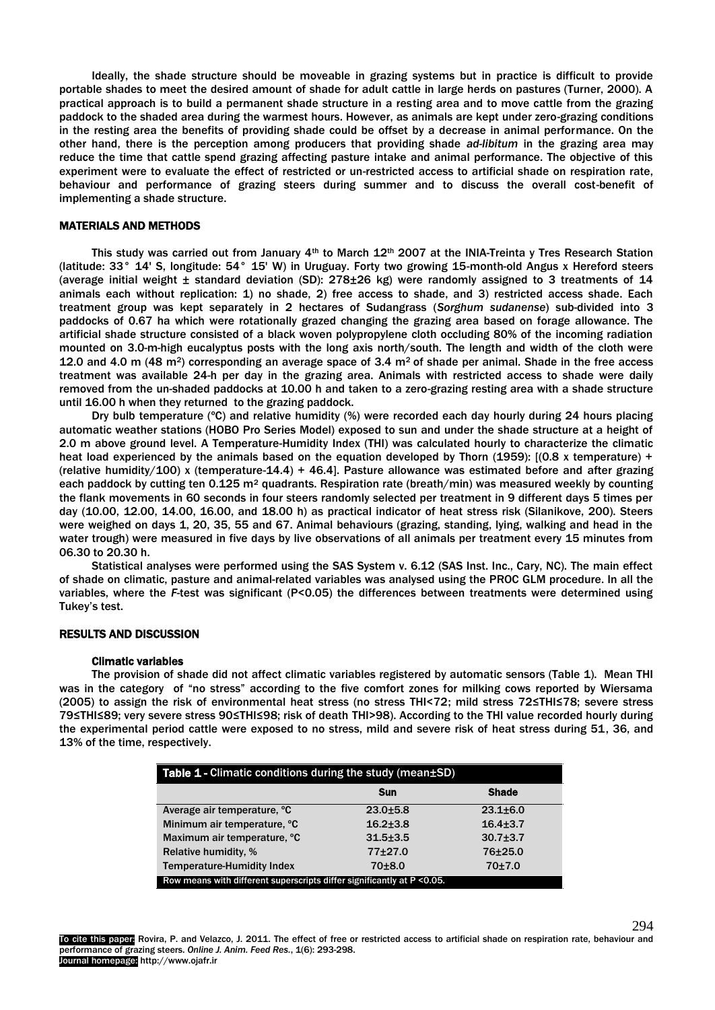Ideally, the shade structure should be moveable in grazing systems but in practice is difficult to provide portable shades to meet the desired amount of shade for adult cattle in large herds on pastures (Turner, 2000). A practical approach is to build a permanent shade structure in a resting area and to move cattle from the grazing paddock to the shaded area during the warmest hours. However, as animals are kept under zero-grazing conditions in the resting area the benefits of providing shade could be offset by a decrease in animal performance. On the other hand, there is the perception among producers that providing shade *ad-libitum* in the grazing area may reduce the time that cattle spend grazing affecting pasture intake and animal performance. The objective of this experiment were to evaluate the effect of restricted or un-restricted access to artificial shade on respiration rate, behaviour and performance of grazing steers during summer and to discuss the overall cost-benefit of implementing a shade structure.

#### MATERIALS AND METHODS

This study was carried out from January  $4<sup>th</sup>$  to March  $12<sup>th</sup>$  2007 at the INIA-Treinta y Tres Research Station (latitude: 33° 14' S, longitude: 54° 15' W) in Uruguay. Forty two growing 15-month-old Angus x Hereford steers (average initial weight  $\pm$  standard deviation (SD): 278 $\pm$ 26 kg) were randomly assigned to 3 treatments of 14 animals each without replication: 1) no shade, 2) free access to shade, and 3) restricted access shade. Each treatment group was kept separately in 2 hectares of Sudangrass (*Sorghum sudanense*) sub-divided into 3 paddocks of 0.67 ha which were rotationally grazed changing the grazing area based on forage allowance. The artificial shade structure consisted of a black woven polypropylene cloth occluding 80% of the incoming radiation mounted on 3.0-m-high eucalyptus posts with the long axis north/south. The length and width of the cloth were 12.0 and 4.0 m (48 m<sup>2</sup>) corresponding an average space of 3.4 m<sup>2</sup> of shade per animal. Shade in the free access treatment was available 24-h per day in the grazing area. Animals with restricted access to shade were daily removed from the un-shaded paddocks at 10.00 h and taken to a zero-grazing resting area with a shade structure until 16.00 h when they returned to the grazing paddock.

Dry bulb temperature (ºC) and relative humidity (%) were recorded each day hourly during 24 hours placing automatic weather stations (HOBO Pro Series Model) exposed to sun and under the shade structure at a height of 2.0 m above ground level. A Temperature-Humidity Index (THI) was calculated hourly to characterize the climatic heat load experienced by the animals based on the equation developed by Thorn (1959): [(0.8 x temperature) + (relative humidity/100) x (temperature-14.4) + 46.4]. Pasture allowance was estimated before and after grazing each paddock by cutting ten  $0.125$  m<sup>2</sup> quadrants. Respiration rate (breath/min) was measured weekly by counting the flank movements in 60 seconds in four steers randomly selected per treatment in 9 different days 5 times per day (10.00, 12.00, 14.00, 16.00, and 18.00 h) as practical indicator of heat stress risk (Silanikove, 200). Steers were weighed on days 1, 20, 35, 55 and 67. Animal behaviours (grazing, standing, lying, walking and head in the water trough) were measured in five days by live observations of all animals per treatment every 15 minutes from 06.30 to 20.30 h.

Statistical analyses were performed using the SAS System v. 6.12 (SAS Inst. Inc., Cary, NC). The main effect of shade on climatic, pasture and animal-related variables was analysed using the PROC GLM procedure. In all the variables, where the *F*-test was significant (P<0.05) the differences between treatments were determined using Tukey's test.

#### RESULTS AND DISCUSSION

#### Climatic variables

The provision of shade did not affect climatic variables registered by automatic sensors (Table 1). Mean THI was in the category of "no stress" according to the five comfort zones for milking cows reported by Wiersama (2005) to assign the risk of environmental heat stress (no stress THI<72; mild stress 72≤THI≤78; severe stress 79≤THI≤89; very severe stress 90≤THI≤98; risk of death THI>98). According to the THI value recorded hourly during the experimental period cattle were exposed to no stress, mild and severe risk of heat stress during 51, 36, and 13% of the time, respectively.

| <b>Table 1 - Climatic conditions during the study (mean±SD)</b>         |              |                |  |  |  |
|-------------------------------------------------------------------------|--------------|----------------|--|--|--|
|                                                                         | <b>Sun</b>   | <b>Shade</b>   |  |  |  |
| Average air temperature, °C                                             | $23.0 + 5.8$ | $23.1 \pm 6.0$ |  |  |  |
| Minimum air temperature, °C                                             | $16.2 + 3.8$ | $16.4 + 3.7$   |  |  |  |
| Maximum air temperature, °C                                             | $31.5 + 3.5$ | $30.7{\pm}3.7$ |  |  |  |
| <b>Relative humidity, %</b>                                             | $77+27.0$    | 76±25.0        |  |  |  |
| Temperature-Humidity Index                                              | $70 + 8.0$   | 70±7.0         |  |  |  |
| Row means with different superscripts differ significantly at P < 0.05. |              |                |  |  |  |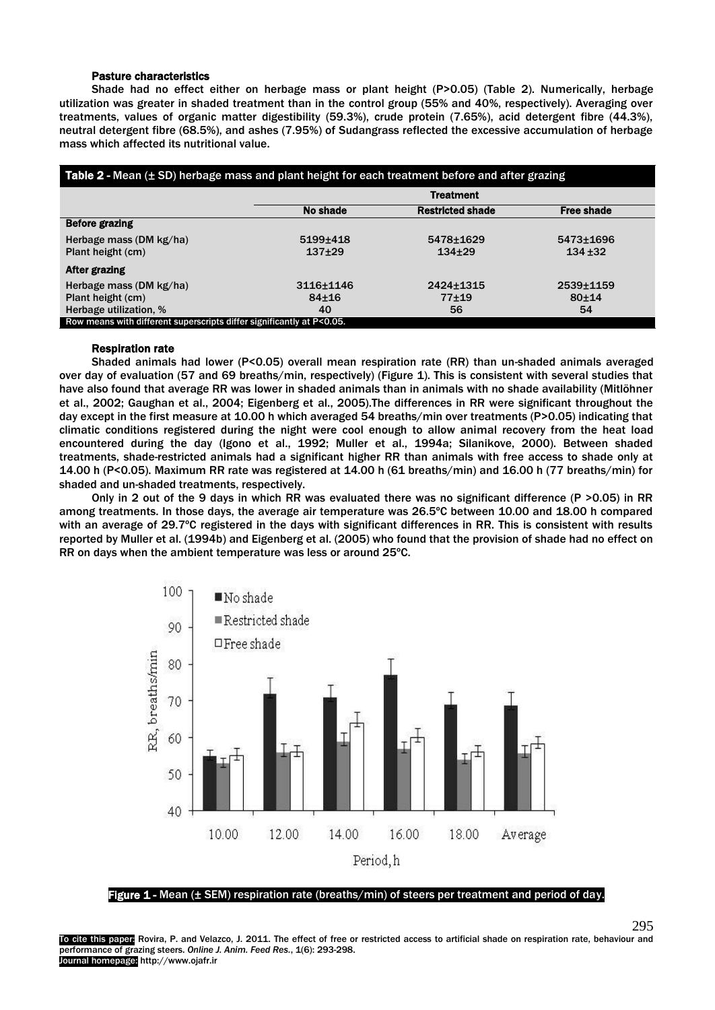## Pasture characteristics

Shade had no effect either on herbage mass or plant height (P>0.05) (Table 2). Numerically, herbage utilization was greater in shaded treatment than in the control group (55% and 40%, respectively). Averaging over treatments, values of organic matter digestibility (59.3%), crude protein (7.65%), acid detergent fibre (44.3%), neutral detergent fibre (68.5%), and ashes (7.95%) of Sudangrass reflected the excessive accumulation of herbage mass which affected its nutritional value.

| Table $2$ - Mean ( $\pm$ SD) herbage mass and plant height for each treatment before and after grazing |                  |                         |                   |  |  |
|--------------------------------------------------------------------------------------------------------|------------------|-------------------------|-------------------|--|--|
|                                                                                                        | <b>Treatment</b> |                         |                   |  |  |
|                                                                                                        | No shade         | <b>Restricted shade</b> | <b>Free shade</b> |  |  |
| <b>Before grazing</b>                                                                                  |                  |                         |                   |  |  |
| Herbage mass (DM kg/ha)                                                                                | 5199±418         | 5478±1629               | 5473±1696         |  |  |
| Plant height (cm)                                                                                      | $137+29$         | $134+29$                | $134 + 32$        |  |  |
| After grazing                                                                                          |                  |                         |                   |  |  |
| Herbage mass (DM kg/ha)                                                                                | 3116+1146        | 2424±1315               | 2539±1159         |  |  |
| Plant height (cm)                                                                                      | $84 + 16$        | 77±19                   | $80 + 14$         |  |  |
| Herbage utilization, %                                                                                 | 40               | 56                      | 54                |  |  |
| Row means with different superscripts differ significantly at P<0.05.                                  |                  |                         |                   |  |  |

## Respiration rate

Shaded animals had lower (P<0.05) overall mean respiration rate (RR) than un-shaded animals averaged over day of evaluation (57 and 69 breaths/min, respectively) (Figure 1). This is consistent with several studies that have also found that average RR was lower in shaded animals than in animals with no shade availability (Mitlöhner et al., 2002; Gaughan et al., 2004; Eigenberg et al., 2005).The differences in RR were significant throughout the day except in the first measure at 10.00 h which averaged 54 breaths/min over treatments (P>0.05) indicating that climatic conditions registered during the night were cool enough to allow animal recovery from the heat load encountered during the day (Igono et al., 1992; Muller et al., 1994a; Silanikove, 2000). Between shaded treatments, shade-restricted animals had a significant higher RR than animals with free access to shade only at 14.00 h (P<0.05). Maximum RR rate was registered at 14.00 h (61 breaths/min) and 16.00 h (77 breaths/min) for shaded and un-shaded treatments, respectively.

Only in 2 out of the 9 days in which RR was evaluated there was no significant difference (P >0.05) in RR among treatments. In those days, the average air temperature was 26.5ºC between 10.00 and 18.00 h compared with an average of 29.7°C registered in the days with significant differences in RR. This is consistent with results reported by Muller et al. (1994b) and Eigenberg et al. (2005) who found that the provision of shade had no effect on RR on days when the ambient temperature was less or around 25ºC.



Figure 1 - Mean (± SEM) respiration rate (breaths/min) of steers per treatment and period of day.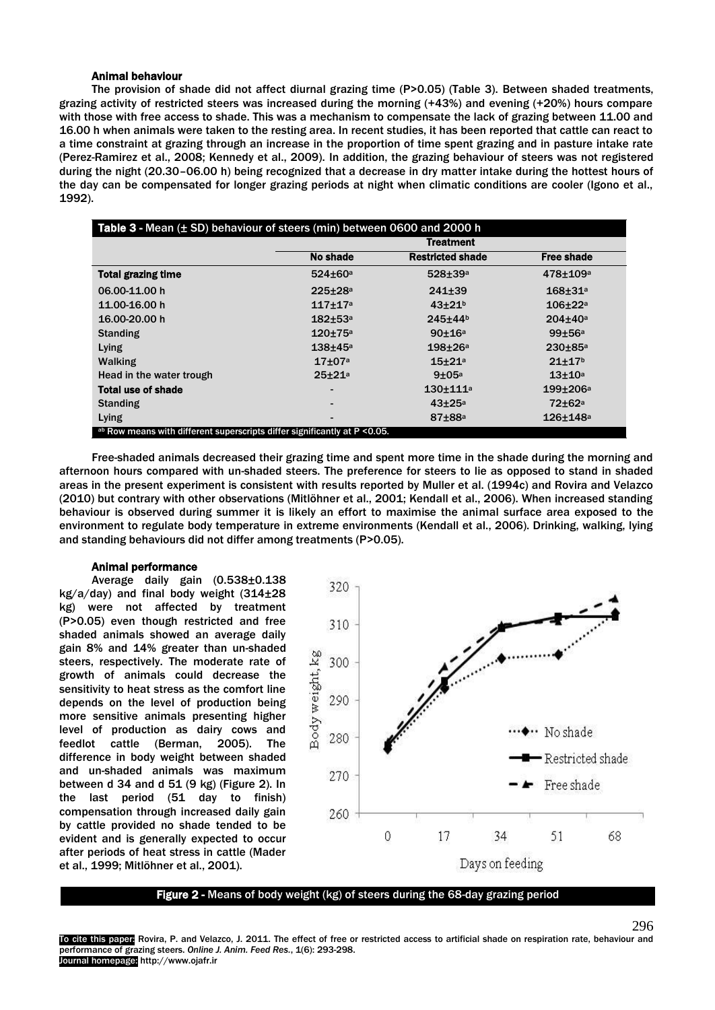## Animal behaviour

The provision of shade did not affect diurnal grazing time (P>0.05) (Table 3). Between shaded treatments, grazing activity of restricted steers was increased during the morning (+43%) and evening (+20%) hours compare with those with free access to shade. This was a mechanism to compensate the lack of grazing between 11.00 and 16.00 h when animals were taken to the resting area. In recent studies, it has been reported that cattle can react to a time constraint at grazing through an increase in the proportion of time spent grazing and in pasture intake rate (Perez-Ramirez et al., 2008; Kennedy et al., 2009). In addition, the grazing behaviour of steers was not registered during the night (20.30–06.00 h) being recognized that a decrease in dry matter intake during the hottest hours of the day can be compensated for longer grazing periods at night when climatic conditions are cooler (Igono et al., 1992).

| Table $3$ - Mean $(\pm 5D)$ behaviour of steers (min) between 0600 and 2000 h |                      |                         |                          |  |  |
|-------------------------------------------------------------------------------|----------------------|-------------------------|--------------------------|--|--|
|                                                                               | Treatment            |                         |                          |  |  |
|                                                                               | No shade             | <b>Restricted shade</b> | <b>Free shade</b>        |  |  |
| <b>Total grazing time</b>                                                     | $524 \pm 60^{\circ}$ | $528 + 39a$             | $478 + 109a$             |  |  |
| 06.00-11.00 h                                                                 | $225 + 28a$          | $241 + 39$              | $168 + 31a$              |  |  |
| 11.00-16.00 h                                                                 | $117 + 17a$          | $43 + 21b$              | $106 + 22a$              |  |  |
| 16.00-20.00 h                                                                 | $182 + 53a$          | 245±44b                 | $204 + 40a$              |  |  |
| <b>Standing</b>                                                               | $120 + 75a$          | $90 + 16a$              | 99±56a                   |  |  |
| Lying                                                                         | $138 + 45a$          | $198 + 26a$             | $230 + 85a$              |  |  |
| <b>Walking</b>                                                                | $17 + 07a$           | $15 + 21a$              | $21+17b$                 |  |  |
| Head in the water trough                                                      | $25 + 21a$           | $9\pm05^{\circ}$        | $13 + 10a$               |  |  |
| <b>Total use of shade</b>                                                     |                      | $130 + 111^a$           | $199 + 206a$             |  |  |
| <b>Standing</b>                                                               |                      | $43\pm25a$              | $72 \pm 62$ <sup>a</sup> |  |  |
| Lying                                                                         |                      | $87 + 88$ <sup>a</sup>  | 126±148 <sup>a</sup>     |  |  |
| ab Row means with different superscripts differ significantly at P < 0.05.    |                      |                         |                          |  |  |

Free-shaded animals decreased their grazing time and spent more time in the shade during the morning and afternoon hours compared with un-shaded steers. The preference for steers to lie as opposed to stand in shaded areas in the present experiment is consistent with results reported by Muller et al. (1994c) and Rovira and Velazco (2010) but contrary with other observations (Mitlöhner et al., 2001; Kendall et al., 2006). When increased standing behaviour is observed during summer it is likely an effort to maximise the animal surface area exposed to the environment to regulate body temperature in extreme environments (Kendall et al., 2006). Drinking, walking, lying and standing behaviours did not differ among treatments (P>0.05).

## Animal performance

I

Average daily gain (0.538±0.138 kg/a/day) and final body weight (314±28 kg) were not affected by treatment (P>0.05) even though restricted and free shaded animals showed an average daily gain 8% and 14% greater than un-shaded steers, respectively. The moderate rate of growth of animals could decrease the sensitivity to heat stress as the comfort line depends on the level of production being more sensitive animals presenting higher level of production as dairy cows and feedlot cattle (Berman, 2005). The difference in body weight between shaded and un-shaded animals was maximum between d 34 and d 51 (9 kg) (Figure 2). In the last period (51 day to finish) compensation through increased daily gain by cattle provided no shade tended to be evident and is generally expected to occur after periods of heat stress in cattle (Mader et al., 1999; Mitlöhner et al., 2001).



Figure 2 - Means of body weight (kg) of steers during the 68-day grazing period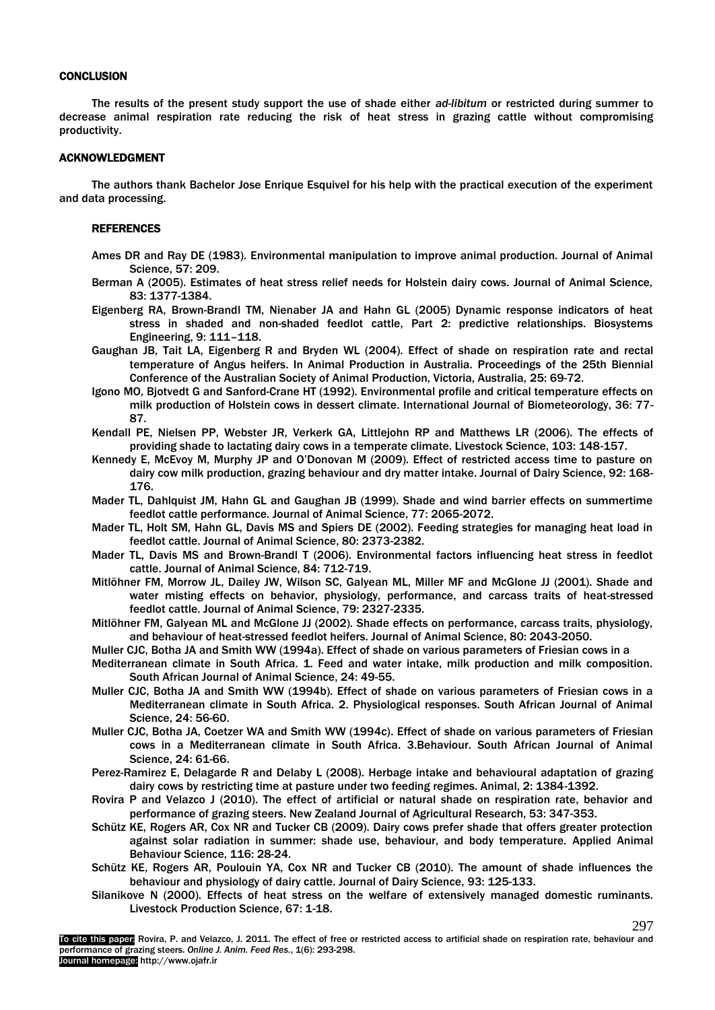## **CONCLUSION**

The results of the present study support the use of shade either *ad-libitum* or restricted during summer to decrease animal respiration rate reducing the risk of heat stress in grazing cattle without compromising productivity.

### ACKNOWLEDGMENT

The authors thank Bachelor Jose Enrique Esquivel for his help with the practical execution of the experiment and data processing.

#### REFERENCES

- Ames DR and Ray DE (1983). Environmental manipulation to improve animal production. Journal of Animal Science, 57: 209.
- Berman A (2005). Estimates of heat stress relief needs for Holstein dairy cows. Journal of Animal Science, 83: 1377-1384.
- Eigenberg RA, Brown-Brandl TM, Nienaber JA and Hahn GL (2005) Dynamic response indicators of heat stress in shaded and non-shaded feedlot cattle, Part 2: predictive relationships. Biosystems Engineering, 9: 111–118.
- Gaughan JB, Tait LA, Eigenberg R and Bryden WL (2004). Effect of shade on respiration rate and rectal temperature of Angus heifers. In Animal Production in Australia. Proceedings of the 25th Biennial Conference of the Australian Society of Animal Production, Victoria, Australia, 25: 69-72.
- Igono MO, Bjotvedt G and Sanford-Crane HT (1992). Environmental profile and critical temperature effects on milk production of Holstein cows in dessert climate. International Journal of Biometeorology, 36: 77- 87.
- Kendall PE, Nielsen PP, Webster JR, Verkerk GA, Littlejohn RP and Matthews LR (2006). The effects of providing shade to lactating dairy cows in a temperate climate. Livestock Science, 103: 148-157.
- Kennedy E, McEvoy M, Murphy JP and O'Donovan M (2009). Effect of restricted access time to pasture on dairy cow milk production, grazing behaviour and dry matter intake. Journal of Dairy Science, 92: 168- 176.
- Mader TL, Dahlquist JM, Hahn GL and Gaughan JB (1999). Shade and wind barrier effects on summertime feedlot cattle performance. Journal of Animal Science, 77: 2065-2072.
- Mader TL, Holt SM, Hahn GL, Davis MS and Spiers DE (2002). Feeding strategies for managing heat load in feedlot cattle. Journal of Animal Science, 80: 2373-2382.
- Mader TL, Davis MS and Brown-Brandl T (2006). Environmental factors influencing heat stress in feedlot cattle. Journal of Animal Science, 84: 712-719.
- Mitlöhner FM, Morrow JL, Dailey JW, Wilson SC, Galyean ML, Miller MF and McGlone JJ (2001). Shade and water misting effects on behavior, physiology, performance, and carcass traits of heat-stressed feedlot cattle. Journal of Animal Science, 79: 2327-2335.
- Mitlöhner FM, Galyean ML and McGlone JJ (2002). Shade effects on performance, carcass traits, physiology, and behaviour of heat-stressed feedlot heifers. Journal of Animal Science, 80: 2043-2050.
- Muller CJC, Botha JA and Smith WW (1994a). Effect of shade on various parameters of Friesian cows in a
- Mediterranean climate in South Africa. 1. Feed and water intake, milk production and milk composition. South African Journal of Animal Science, 24: 49-55.
- Muller CJC, Botha JA and Smith WW (1994b). Effect of shade on various parameters of Friesian cows in a Mediterranean climate in South Africa. 2. Physiological responses. South African Journal of Animal Science, 24: 56-60.
- Muller CJC, Botha JA, Coetzer WA and Smith WW (1994c). Effect of shade on various parameters of Friesian cows in a Mediterranean climate in South Africa. 3.Behaviour. South African Journal of Animal Science, 24: 61-66.
- Perez-Ramirez E, Delagarde R and Delaby L (2008). Herbage intake and behavioural adaptation of grazing dairy cows by restricting time at pasture under two feeding regimes. Animal, 2: 1384-1392.
- Rovira P and Velazco J (2010). The effect of artificial or natural shade on respiration rate, behavior and performance of grazing steers. New Zealand Journal of Agricultural Research, 53: 347-353.
- Schütz KE, Rogers AR, Cox NR and Tucker CB (2009). Dairy cows prefer shade that offers greater protection against solar radiation in summer: shade use, behaviour, and body temperature. Applied Animal Behaviour Science, 116: 28-24.
- Schütz KE, Rogers AR, Poulouin YA, Cox NR and Tucker CB (2010). The amount of shade influences the behaviour and physiology of dairy cattle. Journal of Dairy Science, 93: 125-133.
- Silanikove N (2000). Effects of heat stress on the welfare of extensively managed domestic ruminants. Livestock Production Science, 67: 1-18.

297